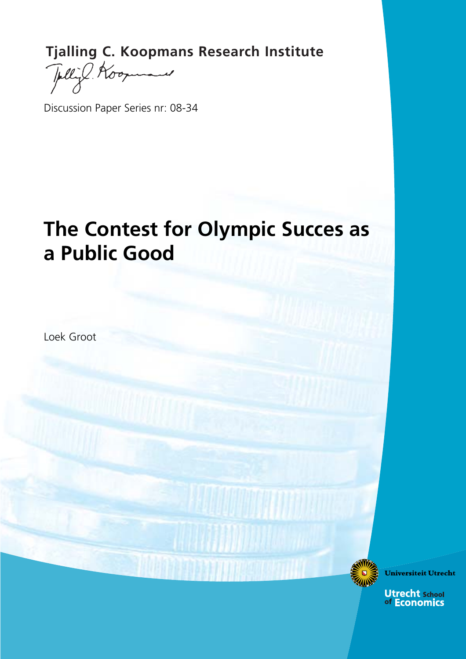**Tjalling C. Koopmans Research Institute**<br>
Fully Koopmans

للبسع

Discussion Paper Series nr: 08-34

# **The Contest for Olympic Succes as a Public Good**

Loek Groot

Universiteit Utrecht

**Utrecht school**<br>of Economics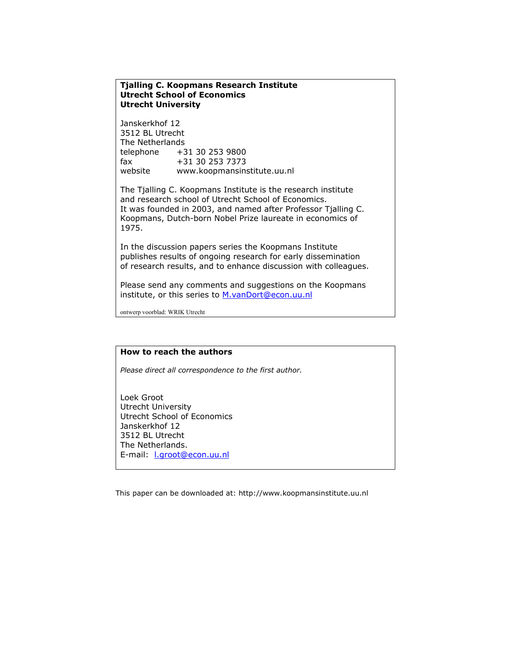## **Tjalling C. Koopmans Research Institute Utrecht School of Economics Utrecht University**

Janskerkhof 12 3512 BL Utrecht The Netherlands telephone +31 30 253 9800 fax +31 30 253 7373 website www.koopmansinstitute.uu.nl

The Tjalling C. Koopmans Institute is the research institute and research school of Utrecht School of Economics. It was founded in 2003, and named after Professor Tjalling C. Koopmans, Dutch-born Nobel Prize laureate in economics of 1975.

In the discussion papers series the Koopmans Institute publishes results of ongoing research for early dissemination of research results, and to enhance discussion with colleagues.

Please send any comments and suggestions on the Koopmans institute, or this series to M.vanDort@econ.uu.nl

ontwerp voorblad: WRIK Utrecht

#### **How to reach the authors**

*Please direct all correspondence to the first author.* 

Loek Groot Utrecht University Utrecht School of Economics Janskerkhof 12 3512 BL Utrecht The Netherlands. E-mail: l.groot@econ.uu.nl

This paper can be downloaded at: http://www.koopmansinstitute.uu.nl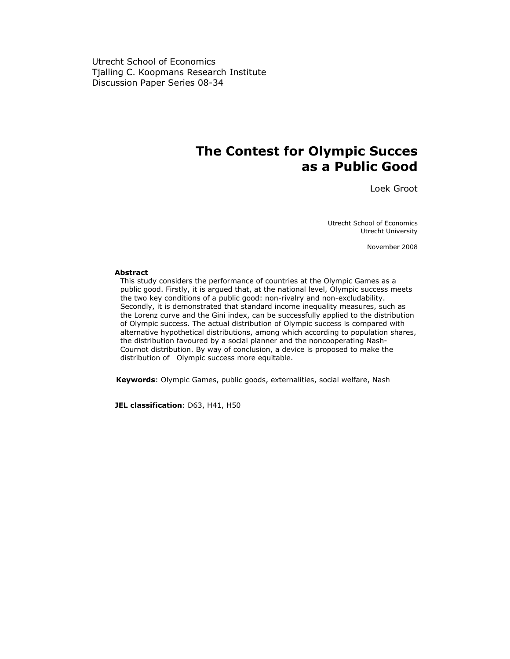Utrecht School of Economics Tjalling C. Koopmans Research Institute Discussion Paper Series 08-34

# **The Contest for Olympic Succes as a Public Good**

Loek Groot

Utrecht School of Economics Utrecht University

November 2008

#### **Abstract**

 This study considers the performance of countries at the Olympic Games as a public good. Firstly, it is argued that, at the national level, Olympic success meets the two key conditions of a public good: non-rivalry and non-excludability. Secondly, it is demonstrated that standard income inequality measures, such as the Lorenz curve and the Gini index, can be successfully applied to the distribution of Olympic success. The actual distribution of Olympic success is compared with alternative hypothetical distributions, among which according to population shares, the distribution favoured by a social planner and the noncooperating Nash- Cournot distribution. By way of conclusion, a device is proposed to make the distribution of Olympic success more equitable.

 **Keywords**: Olympic Games, public goods, externalities, social welfare, Nash

**JEL classification**: D63, H41, H50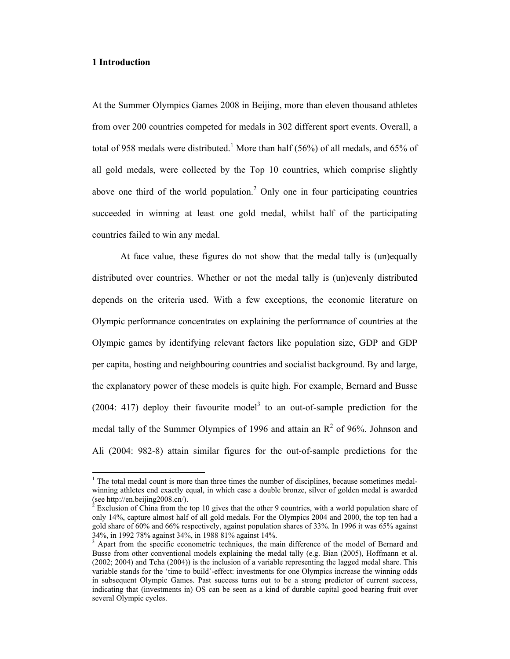# **1 Introduction**

 $\overline{\phantom{a}}$ 

At the Summer Olympics Games 2008 in Beijing, more than eleven thousand athletes from over 200 countries competed for medals in 302 different sport events. Overall, a total of 958 medals were distributed.<sup>1</sup> More than half (56%) of all medals, and 65% of all gold medals, were collected by the Top 10 countries, which comprise slightly above one third of the world population.<sup>2</sup> Only one in four participating countries succeeded in winning at least one gold medal, whilst half of the participating countries failed to win any medal.

At face value, these figures do not show that the medal tally is (un)equally distributed over countries. Whether or not the medal tally is (un)evenly distributed depends on the criteria used. With a few exceptions, the economic literature on Olympic performance concentrates on explaining the performance of countries at the Olympic games by identifying relevant factors like population size, GDP and GDP per capita, hosting and neighbouring countries and socialist background. By and large, the explanatory power of these models is quite high. For example, Bernard and Busse  $(2004: 417)$  deploy their favourite model<sup>3</sup> to an out-of-sample prediction for the medal tally of the Summer Olympics of 1996 and attain an  $\mathbb{R}^2$  of 96%. Johnson and Ali (2004: 982-8) attain similar figures for the out-of-sample predictions for the

 $<sup>1</sup>$  The total medal count is more than three times the number of disciplines, because sometimes medal-</sup> winning athletes end exactly equal, in which case a double bronze, silver of golden medal is awarded (see http://en.beijing2008.cn/).

<sup>2</sup> Exclusion of China from the top 10 gives that the other 9 countries, with a world population share of only 14%, capture almost half of all gold medals. For the Olympics 2004 and 2000, the top ten had a gold share of 60% and 66% respectively, against population shares of 33%. In 1996 it was 65% against 34%, in 1992 78% against 34%, in 1988 81% against 14%.

<sup>&</sup>lt;sup>3</sup> Apart from the specific econometric techniques, the main difference of the model of Bernard and Busse from other conventional models explaining the medal tally (e.g. Bian (2005), Hoffmann et al. (2002; 2004) and Tcha (2004)) is the inclusion of a variable representing the lagged medal share. This variable stands for the 'time to build'-effect: investments for one Olympics increase the winning odds in subsequent Olympic Games. Past success turns out to be a strong predictor of current success, indicating that (investments in) OS can be seen as a kind of durable capital good bearing fruit over several Olympic cycles.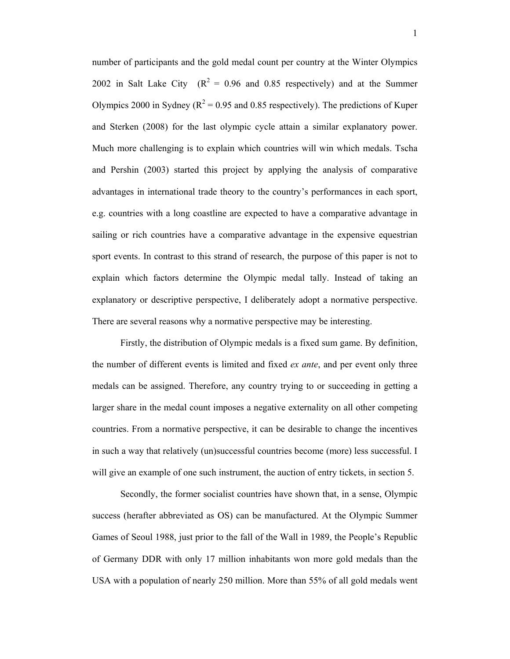number of participants and the gold medal count per country at the Winter Olympics 2002 in Salt Lake City  $(R^2 = 0.96$  and 0.85 respectively) and at the Summer Olympics 2000 in Sydney ( $R^2$  = 0.95 and 0.85 respectively). The predictions of Kuper and Sterken (2008) for the last olympic cycle attain a similar explanatory power. Much more challenging is to explain which countries will win which medals. Tscha and Pershin (2003) started this project by applying the analysis of comparative advantages in international trade theory to the country's performances in each sport, e.g. countries with a long coastline are expected to have a comparative advantage in sailing or rich countries have a comparative advantage in the expensive equestrian sport events. In contrast to this strand of research, the purpose of this paper is not to explain which factors determine the Olympic medal tally. Instead of taking an explanatory or descriptive perspective, I deliberately adopt a normative perspective. There are several reasons why a normative perspective may be interesting.

Firstly, the distribution of Olympic medals is a fixed sum game. By definition, the number of different events is limited and fixed *ex ante*, and per event only three medals can be assigned. Therefore, any country trying to or succeeding in getting a larger share in the medal count imposes a negative externality on all other competing countries. From a normative perspective, it can be desirable to change the incentives in such a way that relatively (un)successful countries become (more) less successful. I will give an example of one such instrument, the auction of entry tickets, in section 5.

Secondly, the former socialist countries have shown that, in a sense, Olympic success (herafter abbreviated as OS) can be manufactured. At the Olympic Summer Games of Seoul 1988, just prior to the fall of the Wall in 1989, the People's Republic of Germany DDR with only 17 million inhabitants won more gold medals than the USA with a population of nearly 250 million. More than 55% of all gold medals went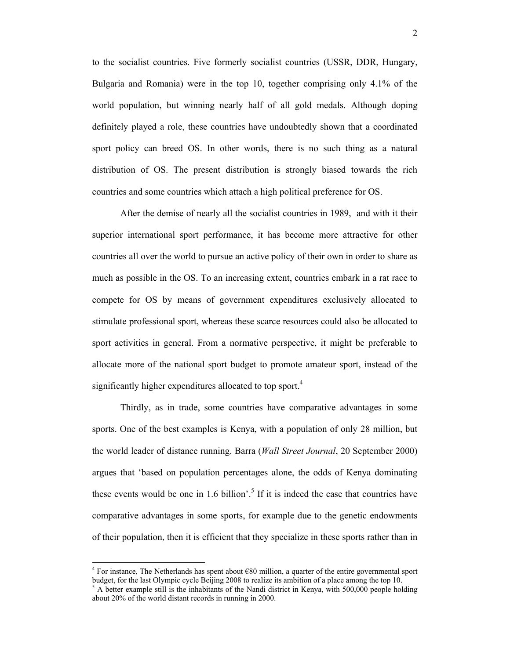to the socialist countries. Five formerly socialist countries (USSR, DDR, Hungary, Bulgaria and Romania) were in the top 10, together comprising only 4.1% of the world population, but winning nearly half of all gold medals. Although doping definitely played a role, these countries have undoubtedly shown that a coordinated sport policy can breed OS. In other words, there is no such thing as a natural distribution of OS. The present distribution is strongly biased towards the rich countries and some countries which attach a high political preference for OS.

After the demise of nearly all the socialist countries in 1989, and with it their superior international sport performance, it has become more attractive for other countries all over the world to pursue an active policy of their own in order to share as much as possible in the OS. To an increasing extent, countries embark in a rat race to compete for OS by means of government expenditures exclusively allocated to stimulate professional sport, whereas these scarce resources could also be allocated to sport activities in general. From a normative perspective, it might be preferable to allocate more of the national sport budget to promote amateur sport, instead of the significantly higher expenditures allocated to top sport.<sup>4</sup>

 Thirdly, as in trade, some countries have comparative advantages in some sports. One of the best examples is Kenya, with a population of only 28 million, but the world leader of distance running. Barra (*Wall Street Journal*, 20 September 2000) argues that 'based on population percentages alone, the odds of Kenya dominating these events would be one in 1.6 billion'.<sup>5</sup> If it is indeed the case that countries have comparative advantages in some sports, for example due to the genetic endowments of their population, then it is efficient that they specialize in these sports rather than in

 $\overline{a}$ 

<sup>&</sup>lt;sup>4</sup> For instance, The Netherlands has spent about  $680$  million, a quarter of the entire governmental sport budget, for the last Olympic cycle Beijing 2008 to realize its ambition of a place among the top 10.

 $<sup>5</sup>$  A better example still is the inhabitants of the Nandi district in Kenya, with 500,000 people holding</sup> about 20% of the world distant records in running in 2000.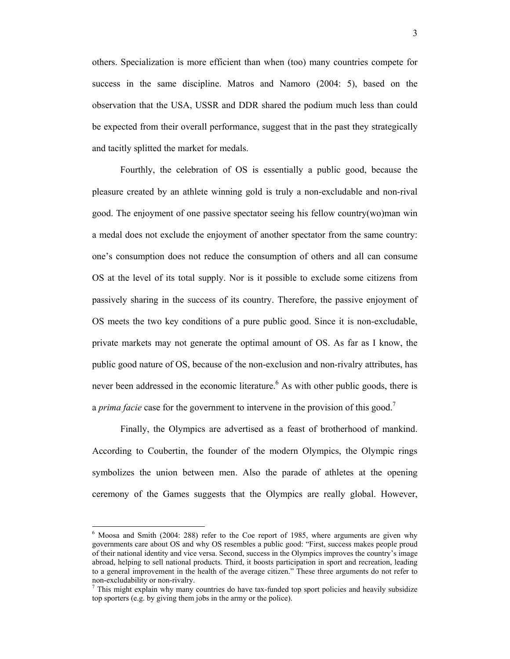others. Specialization is more efficient than when (too) many countries compete for success in the same discipline. Matros and Namoro (2004: 5), based on the observation that the USA, USSR and DDR shared the podium much less than could be expected from their overall performance, suggest that in the past they strategically and tacitly splitted the market for medals.

 Fourthly, the celebration of OS is essentially a public good, because the pleasure created by an athlete winning gold is truly a non-excludable and non-rival good. The enjoyment of one passive spectator seeing his fellow country(wo)man win a medal does not exclude the enjoyment of another spectator from the same country: one's consumption does not reduce the consumption of others and all can consume OS at the level of its total supply. Nor is it possible to exclude some citizens from passively sharing in the success of its country. Therefore, the passive enjoyment of OS meets the two key conditions of a pure public good. Since it is non-excludable, private markets may not generate the optimal amount of OS. As far as I know, the public good nature of OS, because of the non-exclusion and non-rivalry attributes, has never been addressed in the economic literature.<sup>6</sup> As with other public goods, there is a *prima facie* case for the government to intervene in the provision of this good.<sup>7</sup>

 Finally, the Olympics are advertised as a feast of brotherhood of mankind. According to Coubertin, the founder of the modern Olympics, the Olympic rings symbolizes the union between men. Also the parade of athletes at the opening ceremony of the Games suggests that the Olympics are really global. However,

l

<sup>6</sup> Moosa and Smith (2004: 288) refer to the Coe report of 1985, where arguments are given why governments care about OS and why OS resembles a public good: "First, success makes people proud of their national identity and vice versa. Second, success in the Olympics improves the country's image abroad, helping to sell national products. Third, it boosts participation in sport and recreation, leading to a general improvement in the health of the average citizen." These three arguments do not refer to non-excludability or non-rivalry.

 $<sup>7</sup>$  This might explain why many countries do have tax-funded top sport policies and heavily subsidize</sup> top sporters (e.g. by giving them jobs in the army or the police).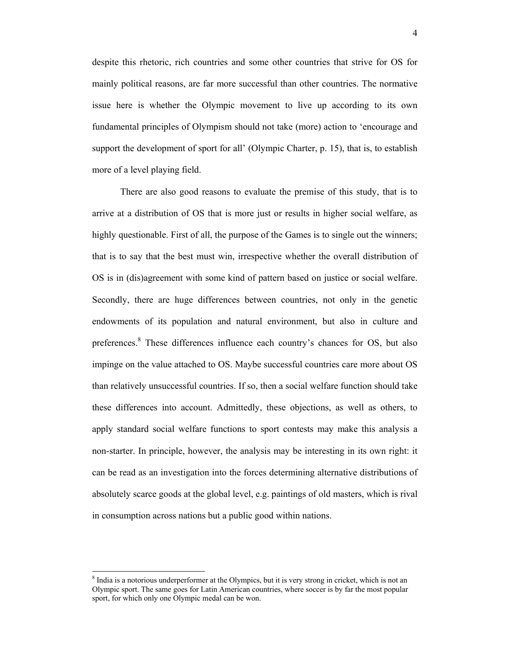despite this rhetoric, rich countries and some other countries that strive for OS for mainly political reasons, are far more successful than other countries. The normative issue here is whether the Olympic movement to live up according to its own fundamental principles of Olympism should not take (more) action to 'encourage and support the development of sport for all' (Olympic Charter, p. 15), that is, to establish more of a level playing field.

There are also good reasons to evaluate the premise of this study, that is to arrive at a distribution of OS that is more just or results in higher social welfare, as highly questionable. First of all, the purpose of the Games is to single out the winners; that is to say that the best must win, irrespective whether the overall distribution of OS is in (dis)agreement with some kind of pattern based on justice or social welfare. Secondly, there are huge differences between countries, not only in the genetic endowments of its population and natural environment, but also in culture and preferences.<sup>8</sup> These differences influence each country's chances for OS, but also impinge on the value attached to OS. Maybe successful countries care more about OS than relatively unsuccessful countries. If so, then a social welfare function should take these differences into account. Admittedly, these objections, as well as others, to apply standard social welfare functions to sport contests may make this analysis a non-starter. In principle, however, the analysis may be interesting in its own right: it can be read as an investigation into the forces determining alternative distributions of absolutely scarce goods at the global level, e.g. paintings of old masters, which is rival in consumption across nations but a public good within nations.

 $\overline{a}$ 

<sup>&</sup>lt;sup>8</sup> India is a notorious underperformer at the Olympics, but it is very strong in cricket, which is not an Olympic sport. The same goes for Latin American countries, where soccer is by far the most popular sport, for which only one Olympic medal can be won.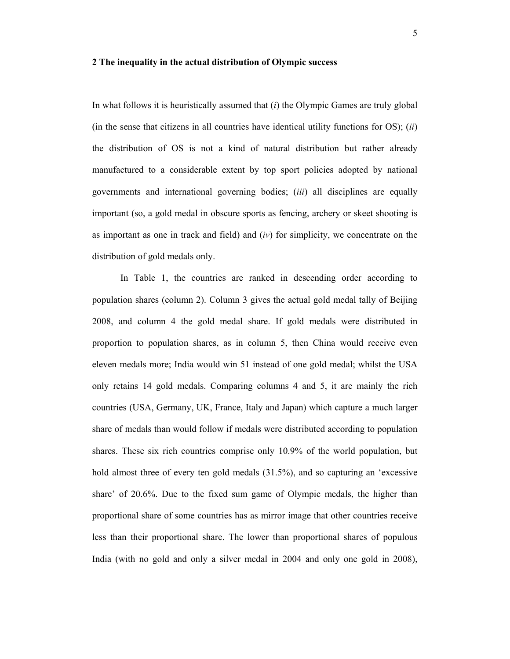#### **2 The inequality in the actual distribution of Olympic success**

In what follows it is heuristically assumed that (*i*) the Olympic Games are truly global (in the sense that citizens in all countries have identical utility functions for OS); (*ii*) the distribution of OS is not a kind of natural distribution but rather already manufactured to a considerable extent by top sport policies adopted by national governments and international governing bodies; (*iii*) all disciplines are equally important (so, a gold medal in obscure sports as fencing, archery or skeet shooting is as important as one in track and field) and (*iv*) for simplicity, we concentrate on the distribution of gold medals only.

In Table 1, the countries are ranked in descending order according to population shares (column 2). Column 3 gives the actual gold medal tally of Beijing 2008, and column 4 the gold medal share. If gold medals were distributed in proportion to population shares, as in column 5, then China would receive even eleven medals more; India would win 51 instead of one gold medal; whilst the USA only retains 14 gold medals. Comparing columns 4 and 5, it are mainly the rich countries (USA, Germany, UK, France, Italy and Japan) which capture a much larger share of medals than would follow if medals were distributed according to population shares. These six rich countries comprise only 10.9% of the world population, but hold almost three of every ten gold medals (31.5%), and so capturing an 'excessive share' of 20.6%. Due to the fixed sum game of Olympic medals, the higher than proportional share of some countries has as mirror image that other countries receive less than their proportional share. The lower than proportional shares of populous India (with no gold and only a silver medal in 2004 and only one gold in 2008),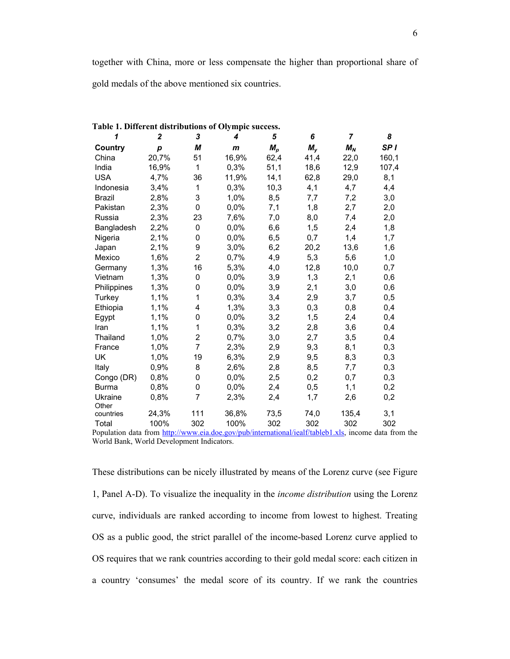| Table 1. Different distributions of Olympic success. |                  |                |              |       |             |                |                 |
|------------------------------------------------------|------------------|----------------|--------------|-------|-------------|----------------|-----------------|
| 1                                                    | $\boldsymbol{2}$ | 3              | 4            | 5     | 6           | $\overline{7}$ | 8               |
| Country                                              | p                | М              | $\mathbf{m}$ | $M_p$ | $M_{\rm v}$ | $M_N$          | SP <sub>I</sub> |
| China                                                | 20,7%            | 51             | 16,9%        | 62,4  | 41,4        | 22,0           | 160,1           |
| India                                                | 16,9%            | 1              | 0,3%         | 51,1  | 18,6        | 12,9           | 107,4           |
| <b>USA</b>                                           | 4,7%             | 36             | 11,9%        | 14,1  | 62,8        | 29,0           | 8,1             |
| Indonesia                                            | 3,4%             | 1              | 0,3%         | 10,3  | 4,1         | 4,7            | 4,4             |
| <b>Brazil</b>                                        | 2,8%             | 3              | 1,0%         | 8,5   | 7,7         | 7,2            | 3,0             |
| Pakistan                                             | 2,3%             | 0              | 0,0%         | 7,1   | 1,8         | 2,7            | 2,0             |
| Russia                                               | 2,3%             | 23             | 7,6%         | 7,0   | 8,0         | 7,4            | 2,0             |
| Bangladesh                                           | 2,2%             | 0              | 0,0%         | 6,6   | 1,5         | 2,4            | 1,8             |
| Nigeria                                              | 2,1%             | 0              | 0,0%         | 6,5   | 0,7         | 1,4            | 1,7             |
| Japan                                                | 2,1%             | 9              | 3,0%         | 6,2   | 20,2        | 13,6           | 1,6             |
| Mexico                                               | 1,6%             | $\overline{2}$ | 0,7%         | 4,9   | 5,3         | 5,6            | 1,0             |
| Germany                                              | 1,3%             | 16             | 5,3%         | 4,0   | 12,8        | 10,0           | 0,7             |
| Vietnam                                              | 1,3%             | 0              | 0,0%         | 3,9   | 1,3         | 2,1            | 0,6             |
| Philippines                                          | 1,3%             | 0              | 0,0%         | 3,9   | 2,1         | 3,0            | 0,6             |
| Turkey                                               | 1,1%             | 1              | 0,3%         | 3,4   | 2,9         | 3,7            | 0,5             |
| Ethiopia                                             | 1,1%             | 4              | 1,3%         | 3,3   | 0,3         | 0,8            | 0,4             |
| Egypt                                                | 1,1%             | 0              | 0,0%         | 3,2   | 1,5         | 2,4            | 0,4             |
| Iran                                                 | 1,1%             | 1              | 0,3%         | 3,2   | 2,8         | 3,6            | 0,4             |
| Thailand                                             | 1,0%             | 2              | 0,7%         | 3,0   | 2,7         | 3,5            | 0,4             |
| France                                               | 1,0%             | $\overline{7}$ | 2,3%         | 2,9   | 9,3         | 8,1            | 0,3             |
| UK                                                   | 1,0%             | 19             | 6,3%         | 2,9   | 9,5         | 8,3            | 0,3             |
| Italy                                                | 0,9%             | 8              | 2,6%         | 2,8   | 8,5         | 7,7            | 0,3             |
| Congo (DR)                                           | 0,8%             | 0              | 0,0%         | 2,5   | 0,2         | 0,7            | 0,3             |
| <b>Burma</b>                                         | 0,8%             | 0              | 0,0%         | 2,4   | 0,5         | 1,1            | 0,2             |
| Ukraine<br>Other                                     | 0,8%             | $\overline{7}$ | 2,3%         | 2,4   | 1,7         | 2,6            | 0,2             |
| countries                                            | 24,3%            | 111            | 36,8%        | 73,5  | 74,0        | 135,4          | 3,1             |
| Total                                                | 100%             | 302            | 100%         | 302   | 302         | 302            | 302             |

Population data from http://www.eia.doe.gov/pub/international/iealf/tableb1.xls, income data from the World Bank, World Development Indicators.

These distributions can be nicely illustrated by means of the Lorenz curve (see Figure 1, Panel A-D). To visualize the inequality in the *income distribution* using the Lorenz curve, individuals are ranked according to income from lowest to highest. Treating OS as a public good, the strict parallel of the income-based Lorenz curve applied to OS requires that we rank countries according to their gold medal score: each citizen in a country 'consumes' the medal score of its country. If we rank the countries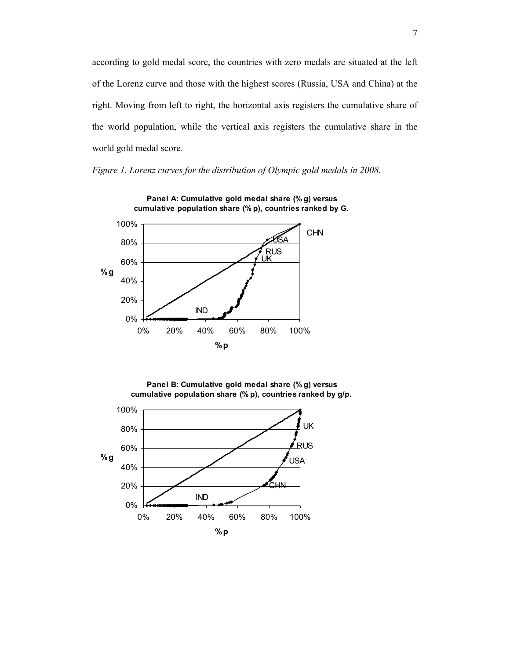according to gold medal score, the countries with zero medals are situated at the left of the Lorenz curve and those with the highest scores (Russia, USA and China) at the right. Moving from left to right, the horizontal axis registers the cumulative share of the world population, while the vertical axis registers the cumulative share in the world gold medal score.

*Figure 1. Lorenz curves for the distribution of Olympic gold medals in 2008.* 





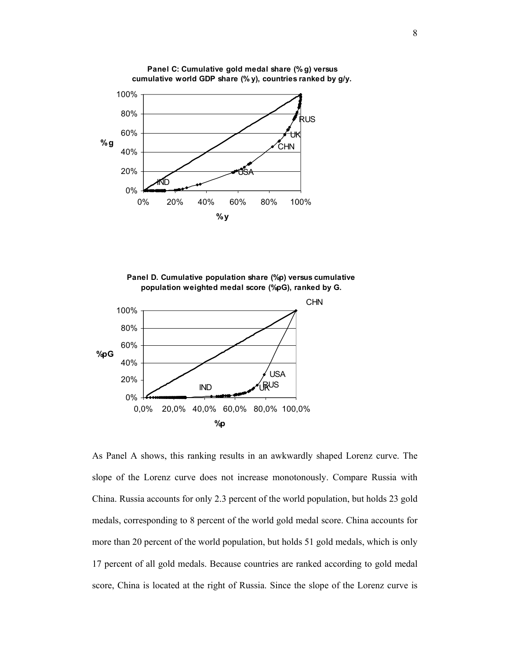

**Panel C: Cumulative gold medal share (% g) versus cumulative world GDP share (% y), countries ranked by g/y.**





As Panel A shows, this ranking results in an awkwardly shaped Lorenz curve. The slope of the Lorenz curve does not increase monotonously. Compare Russia with China. Russia accounts for only 2.3 percent of the world population, but holds 23 gold medals, corresponding to 8 percent of the world gold medal score. China accounts for more than 20 percent of the world population, but holds 51 gold medals, which is only 17 percent of all gold medals. Because countries are ranked according to gold medal score, China is located at the right of Russia. Since the slope of the Lorenz curve is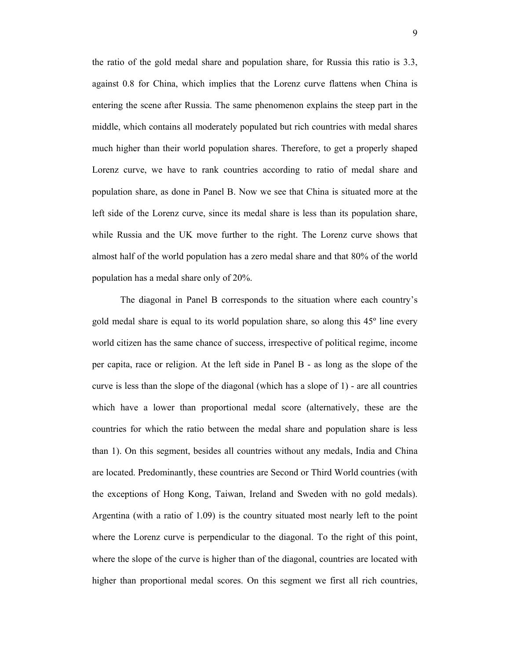the ratio of the gold medal share and population share, for Russia this ratio is 3.3, against 0.8 for China, which implies that the Lorenz curve flattens when China is entering the scene after Russia. The same phenomenon explains the steep part in the middle, which contains all moderately populated but rich countries with medal shares much higher than their world population shares. Therefore, to get a properly shaped Lorenz curve, we have to rank countries according to ratio of medal share and population share, as done in Panel B. Now we see that China is situated more at the left side of the Lorenz curve, since its medal share is less than its population share, while Russia and the UK move further to the right. The Lorenz curve shows that almost half of the world population has a zero medal share and that 80% of the world population has a medal share only of 20%.

The diagonal in Panel B corresponds to the situation where each country's gold medal share is equal to its world population share, so along this 45º line every world citizen has the same chance of success, irrespective of political regime, income per capita, race or religion. At the left side in Panel B - as long as the slope of the curve is less than the slope of the diagonal (which has a slope of 1) - are all countries which have a lower than proportional medal score (alternatively, these are the countries for which the ratio between the medal share and population share is less than 1). On this segment, besides all countries without any medals, India and China are located. Predominantly, these countries are Second or Third World countries (with the exceptions of Hong Kong, Taiwan, Ireland and Sweden with no gold medals). Argentina (with a ratio of 1.09) is the country situated most nearly left to the point where the Lorenz curve is perpendicular to the diagonal. To the right of this point, where the slope of the curve is higher than of the diagonal, countries are located with higher than proportional medal scores. On this segment we first all rich countries,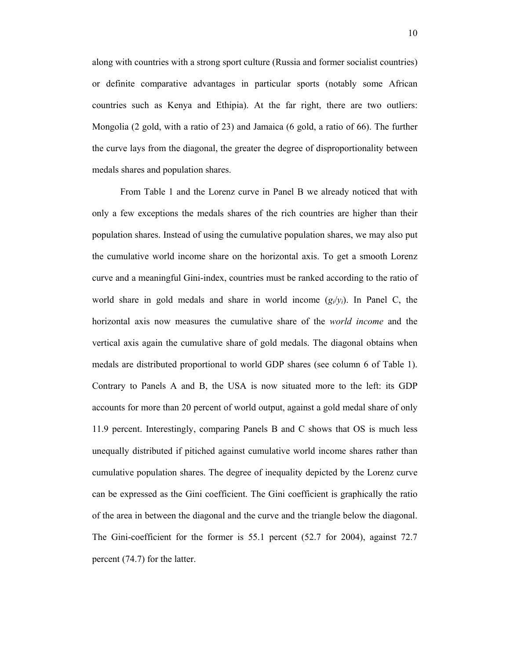along with countries with a strong sport culture (Russia and former socialist countries) or definite comparative advantages in particular sports (notably some African countries such as Kenya and Ethipia). At the far right, there are two outliers: Mongolia (2 gold, with a ratio of 23) and Jamaica (6 gold, a ratio of 66). The further the curve lays from the diagonal, the greater the degree of disproportionality between medals shares and population shares.

 From Table 1 and the Lorenz curve in Panel B we already noticed that with only a few exceptions the medals shares of the rich countries are higher than their population shares. Instead of using the cumulative population shares, we may also put the cumulative world income share on the horizontal axis. To get a smooth Lorenz curve and a meaningful Gini-index, countries must be ranked according to the ratio of world share in gold medals and share in world income  $(g_i/y_i)$ . In Panel C, the horizontal axis now measures the cumulative share of the *world income* and the vertical axis again the cumulative share of gold medals. The diagonal obtains when medals are distributed proportional to world GDP shares (see column 6 of Table 1). Contrary to Panels A and B, the USA is now situated more to the left: its GDP accounts for more than 20 percent of world output, against a gold medal share of only 11.9 percent. Interestingly, comparing Panels B and C shows that OS is much less unequally distributed if pitiched against cumulative world income shares rather than cumulative population shares. The degree of inequality depicted by the Lorenz curve can be expressed as the Gini coefficient. The Gini coefficient is graphically the ratio of the area in between the diagonal and the curve and the triangle below the diagonal. The Gini-coefficient for the former is 55.1 percent (52.7 for 2004), against 72.7 percent (74.7) for the latter.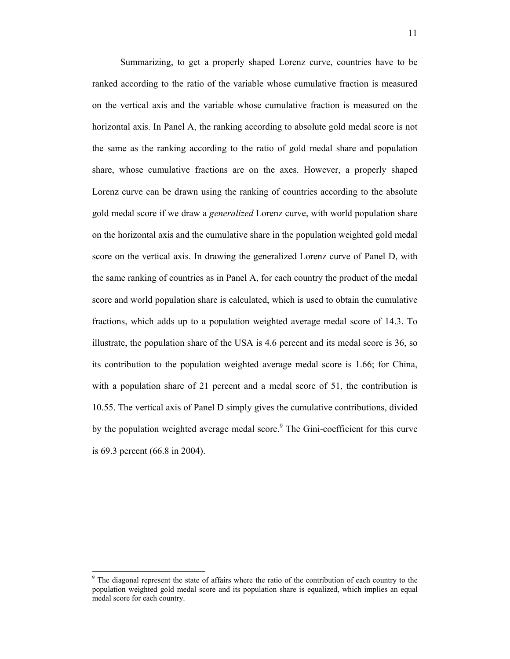Summarizing, to get a properly shaped Lorenz curve, countries have to be ranked according to the ratio of the variable whose cumulative fraction is measured on the vertical axis and the variable whose cumulative fraction is measured on the horizontal axis. In Panel A, the ranking according to absolute gold medal score is not the same as the ranking according to the ratio of gold medal share and population share, whose cumulative fractions are on the axes. However, a properly shaped Lorenz curve can be drawn using the ranking of countries according to the absolute gold medal score if we draw a *generalized* Lorenz curve, with world population share on the horizontal axis and the cumulative share in the population weighted gold medal score on the vertical axis. In drawing the generalized Lorenz curve of Panel D, with the same ranking of countries as in Panel A, for each country the product of the medal score and world population share is calculated, which is used to obtain the cumulative fractions, which adds up to a population weighted average medal score of 14.3. To illustrate, the population share of the USA is 4.6 percent and its medal score is 36, so its contribution to the population weighted average medal score is 1.66; for China, with a population share of 21 percent and a medal score of 51, the contribution is 10.55. The vertical axis of Panel D simply gives the cumulative contributions, divided by the population weighted average medal score.<sup>9</sup> The Gini-coefficient for this curve is 69.3 percent (66.8 in 2004).

 $\overline{a}$ 

<sup>&</sup>lt;sup>9</sup> The diagonal represent the state of affairs where the ratio of the contribution of each country to the population weighted gold medal score and its population share is equalized, which implies an equal medal score for each country.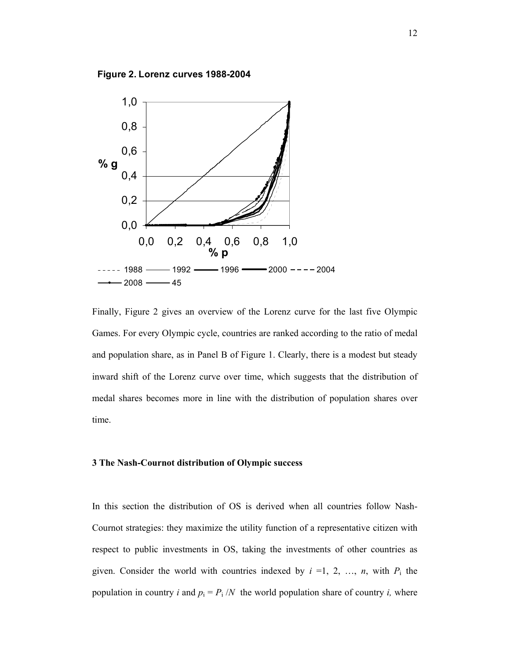**Figure 2. Lorenz curves 1988-2004**



Finally, Figure 2 gives an overview of the Lorenz curve for the last five Olympic Games. For every Olympic cycle, countries are ranked according to the ratio of medal and population share, as in Panel B of Figure 1. Clearly, there is a modest but steady inward shift of the Lorenz curve over time, which suggests that the distribution of medal shares becomes more in line with the distribution of population shares over time.

#### **3 The Nash-Cournot distribution of Olympic success**

In this section the distribution of OS is derived when all countries follow Nash-Cournot strategies: they maximize the utility function of a representative citizen with respect to public investments in OS, taking the investments of other countries as given. Consider the world with countries indexed by  $i = 1, 2, ..., n$ , with  $P_i$  the population in country *i* and  $p_i = P_i / N$  the world population share of country *i*, where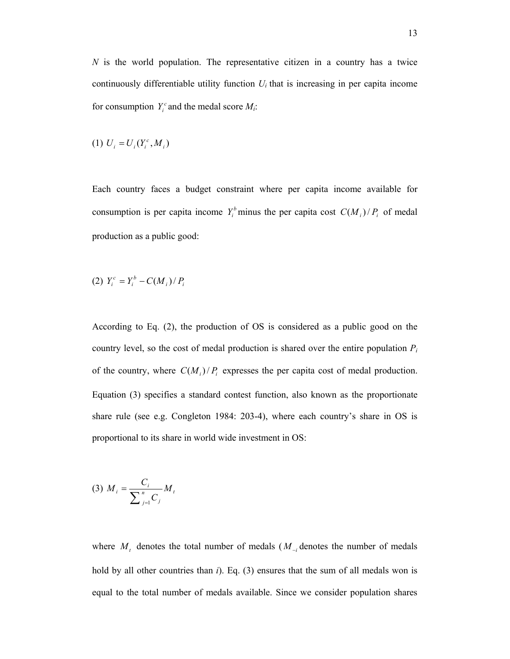*N* is the world population. The representative citizen in a country has a twice continuously differentiable utility function  $U_i$  that is increasing in per capita income for consumption  $Y_i^c$  and the medal score  $M_i$ :

(1) 
$$
U_i = U_i(Y_i^c, M_i)
$$

Each country faces a budget constraint where per capita income available for consumption is per capita income  $Y_i^b$  minus the per capita cost  $C(M_i)/P_i$  of medal production as a public good:

(2) 
$$
Y_i^c = Y_i^b - C(M_i)/P_i
$$

According to Eq. (2), the production of OS is considered as a public good on the country level, so the cost of medal production is shared over the entire population  $P_i$ of the country, where  $C(M_i)/P_i$  expresses the per capita cost of medal production. Equation (3) specifies a standard contest function, also known as the proportionate share rule (see e.g. Congleton 1984: 203-4), where each country's share in OS is proportional to its share in world wide investment in OS:

$$
(3) \; M_i = \frac{C_i}{\sum_{j=1}^n C_j} M_i
$$

where  $M_t$  denotes the total number of medals ( $M_{-i}$  denotes the number of medals hold by all other countries than *i*). Eq. (3) ensures that the sum of all medals won is equal to the total number of medals available. Since we consider population shares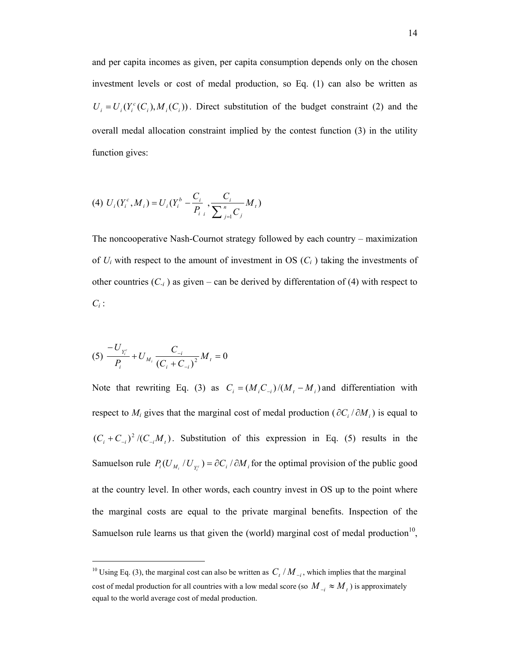and per capita incomes as given, per capita consumption depends only on the chosen investment levels or cost of medal production, so Eq. (1) can also be written as  $U_i = U_i(Y_i^c(C_i), M_i(C_i))$ . Direct substitution of the budget constraint (2) and the overall medal allocation constraint implied by the contest function (3) in the utility function gives:

(4) 
$$
U_i(Y_i^c, M_i) = U_i(Y_i^b - \frac{C_i}{P_{i}} , \frac{C_i}{\sum_{j=1}^n C_j} M_t)
$$

The noncooperative Nash-Cournot strategy followed by each country – maximization of  $U_i$  with respect to the amount of investment in OS  $(C_i)$  taking the investments of other countries  $(C_i)$  as given – can be derived by differentation of (4) with respect to  $C_i$ :

$$
(5) \frac{-U_{Y_i^c}}{P_i} + U_{M_i} \frac{C_{-i}}{(C_i + C_{-i})^2} M_i = 0
$$

l

Note that rewriting Eq. (3) as  $C_i = (M_i C_{-i})/(M_i - M_i)$  and differentiation with respect to  $M_i$  gives that the marginal cost of medal production ( $\partial C_i / \partial M_i$ ) is equal to  $(C_i + C_{-i})^2 / (C_{-i}M_i)$ . Substitution of this expression in Eq. (5) results in the Samuelson rule  $P_i(U_{M_i}/U_{Y_i^c}) = \partial C_i/\partial M_i$  for the optimal provision of the public good at the country level. In other words, each country invest in OS up to the point where the marginal costs are equal to the private marginal benefits. Inspection of the Samuelson rule learns us that given the (world) marginal cost of medal production $10$ ,

<sup>&</sup>lt;sup>10</sup> Using Eq. (3), the marginal cost can also be written as  $C_t / M_{-i}$ , which implies that the marginal cost of medal production for all countries with a low medal score (so  $M_{-i} \approx M_i$ ) is approximately equal to the world average cost of medal production.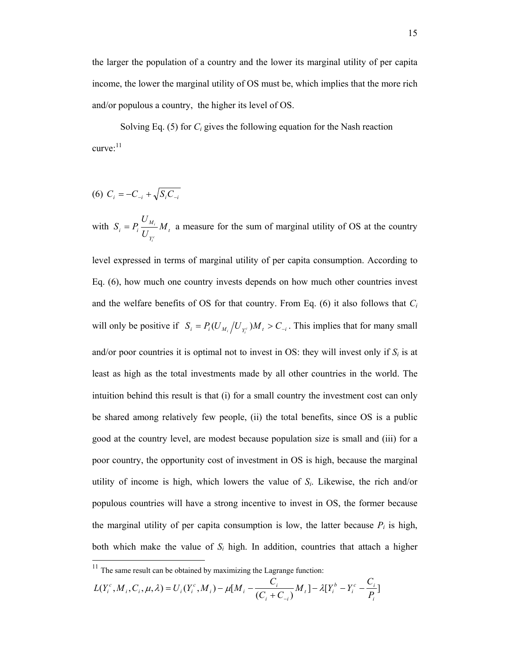the larger the population of a country and the lower its marginal utility of per capita income, the lower the marginal utility of OS must be, which implies that the more rich and/or populous a country, the higher its level of OS.

Solving Eq. (5) for *Ci* gives the following equation for the Nash reaction curve:<sup>11</sup>

$$
(6) C_i = -C_{-i} + \sqrt{S_i C_{-i}}
$$

 $\overline{a}$ 

with  $S_i = P_i \frac{M_i}{I} M_i$ *Y*  $\frac{d}{dt} = P_i \frac{U_{M_i}}{U_{ve}} M$ *U*  $S_i = P_i$ *c i*  $= P_i \frac{M_i}{I} M_i$  a measure for the sum of marginal utility of OS at the country

level expressed in terms of marginal utility of per capita consumption. According to Eq. (6), how much one country invests depends on how much other countries invest and the welfare benefits of OS for that country. From Eq. (6) it also follows that *Ci*  will only be positive if  $S_i = P_i(U_{M_i}/U_{Y_i^c})M_i > C_{-i}$ . This implies that for many small and/or poor countries it is optimal not to invest in OS: they will invest only if  $S_i$  is at least as high as the total investments made by all other countries in the world. The intuition behind this result is that (i) for a small country the investment cost can only be shared among relatively few people, (ii) the total benefits, since OS is a public good at the country level, are modest because population size is small and (iii) for a poor country, the opportunity cost of investment in OS is high, because the marginal utility of income is high, which lowers the value of *Si*. Likewise, the rich and/or populous countries will have a strong incentive to invest in OS, the former because the marginal utility of per capita consumption is low, the latter because  $P_i$  is high, both which make the value of  $S_i$  high. In addition, countries that attach a higher

$$
L(Y_i^c, M_i, C_i, \mu, \lambda) = U_i(Y_i^c, M_i) - \mu[M_i - \frac{C_i}{(C_i + C_{-i})}M_i] - \lambda[Y_i^b - Y_i^c - \frac{C_i}{P_i}]
$$

 $11$  The same result can be obtained by maximizing the Lagrange function: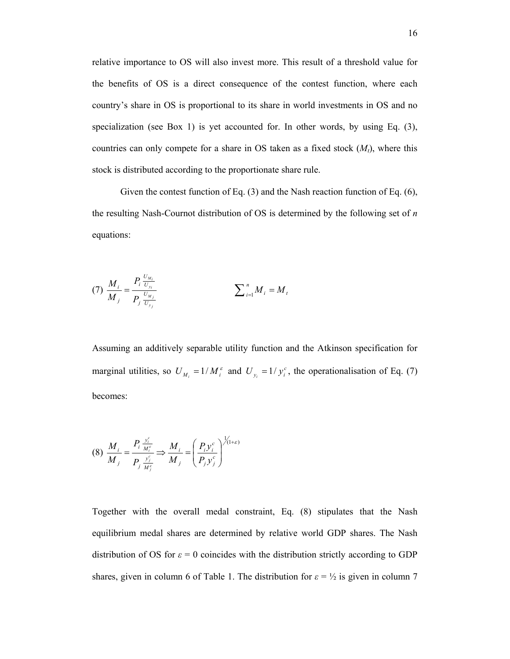relative importance to OS will also invest more. This result of a threshold value for the benefits of OS is a direct consequence of the contest function, where each country's share in OS is proportional to its share in world investments in OS and no specialization (see Box 1) is yet accounted for. In other words, by using Eq. (3), countries can only compete for a share in OS taken as a fixed stock  $(M_t)$ , where this stock is distributed according to the proportionate share rule.

Given the contest function of Eq. (3) and the Nash reaction function of Eq. (6), the resulting Nash-Cournot distribution of OS is determined by the following set of *n* equations:

(7) 
$$
\frac{M_i}{M_j} = \frac{P_i \frac{U_{M_i}}{U_{y_i}}}{P_j \frac{U_{M_j}}{U_{y_j}}}
$$
 
$$
\sum_{i=1}^n M_i = M_i
$$

Assuming an additively separable utility function and the Atkinson specification for marginal utilities, so  $U_{M_i} = 1/M_i^{\epsilon}$  and  $U_{y_i} = 1/y_i^{\epsilon}$ , the operationalisation of Eq. (7) becomes:

$$
(8) \frac{M_i}{M_j} = \frac{P_i \frac{y_i^c}{M_i^c}}{P_j \frac{y_j^c}{M_j^c}} \Rightarrow \frac{M_i}{M_j} = \left(\frac{P_i y_i^c}{P_j y_j^c}\right)^{1/(1+\varepsilon)}
$$

Together with the overall medal constraint, Eq. (8) stipulates that the Nash equilibrium medal shares are determined by relative world GDP shares. The Nash distribution of OS for  $\varepsilon = 0$  coincides with the distribution strictly according to GDP shares, given in column 6 of Table 1. The distribution for  $\varepsilon = \frac{1}{2}$  is given in column 7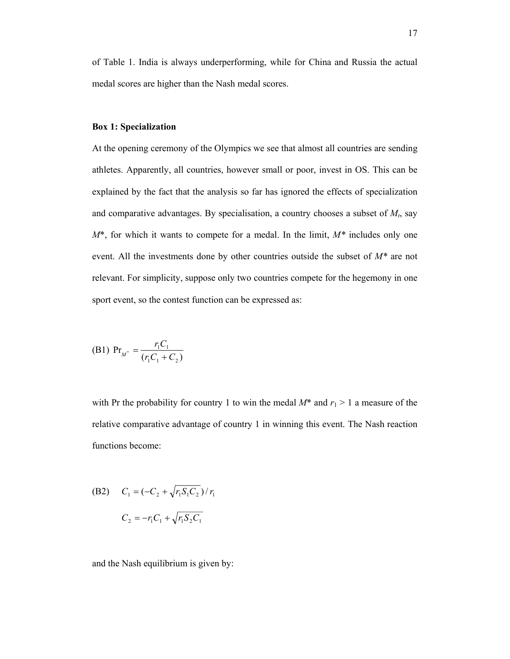of Table 1. India is always underperforming, while for China and Russia the actual medal scores are higher than the Nash medal scores.

#### **Box 1: Specialization**

At the opening ceremony of the Olympics we see that almost all countries are sending athletes. Apparently, all countries, however small or poor, invest in OS. This can be explained by the fact that the analysis so far has ignored the effects of specialization and comparative advantages. By specialisation, a country chooses a subset of  $M_t$ , say *M*\*, for which it wants to compete for a medal. In the limit, *M\** includes only one event. All the investments done by other countries outside the subset of *M\** are not relevant. For simplicity, suppose only two countries compete for the hegemony in one sport event, so the contest function can be expressed as:

(B1) 
$$
Pr_{M^*} = \frac{r_1 C_1}{(r_1 C_1 + C_2)}
$$

with Pr the probability for country 1 to win the medal  $M^*$  and  $r_1 > 1$  a measure of the relative comparative advantage of country 1 in winning this event. The Nash reaction functions become:

(B2) 
$$
C_1 = (-C_2 + \sqrt{r_1 S_1 C_2}) / r_1
$$
  
 $C_2 = -r_1 C_1 + \sqrt{r_1 S_2 C_1}$ 

and the Nash equilibrium is given by: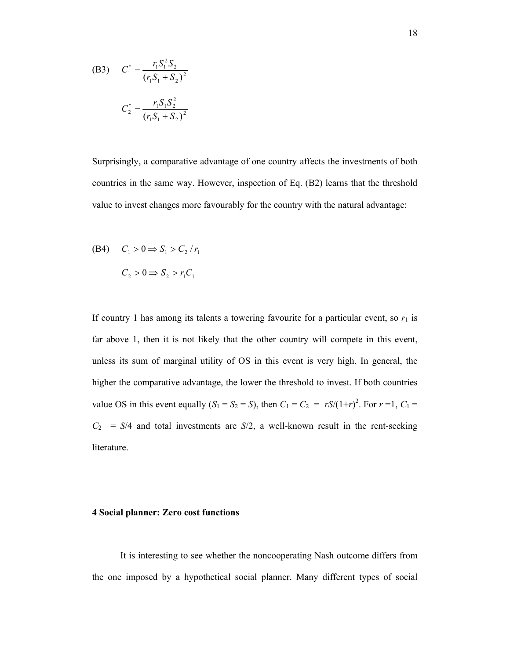(B3) 
$$
C_1^* = \frac{r_1 S_1^2 S_2}{(r_1 S_1 + S_2)^2}
$$

$$
C_2^* = \frac{r_1 S_1 S_2^2}{(r_1 S_1 + S_2)^2}
$$

Surprisingly, a comparative advantage of one country affects the investments of both countries in the same way. However, inspection of Eq. (B2) learns that the threshold value to invest changes more favourably for the country with the natural advantage:

(B4) 
$$
C_1 > 0 \Rightarrow S_1 > C_2 / r_1
$$
  
 $C_2 > 0 \Rightarrow S_2 > r_1 C_1$ 

If country 1 has among its talents a towering favourite for a particular event, so  $r_1$  is far above 1, then it is not likely that the other country will compete in this event, unless its sum of marginal utility of OS in this event is very high. In general, the higher the comparative advantage, the lower the threshold to invest. If both countries value OS in this event equally  $(S_1 = S_2 = S)$ , then  $C_1 = C_2 = rS/(1+r)^2$ . For  $r = 1$ ,  $C_1 =$  $C_2$  = *S*/4 and total investments are *S*/2, a well-known result in the rent-seeking literature.

### **4 Social planner: Zero cost functions**

It is interesting to see whether the noncooperating Nash outcome differs from the one imposed by a hypothetical social planner. Many different types of social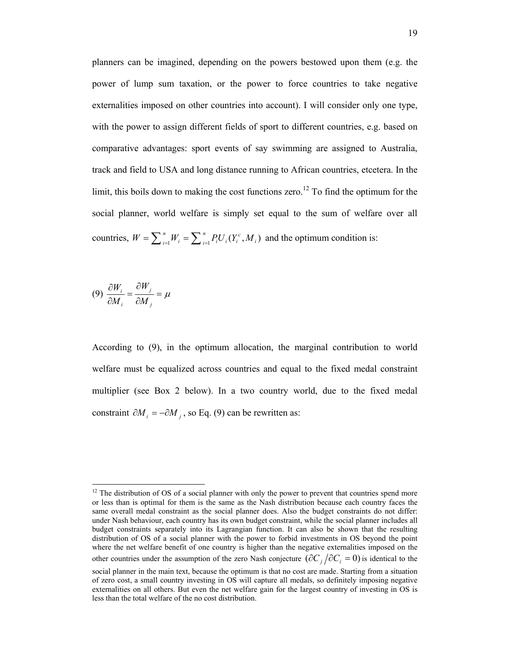planners can be imagined, depending on the powers bestowed upon them (e.g. the power of lump sum taxation, or the power to force countries to take negative externalities imposed on other countries into account). I will consider only one type, with the power to assign different fields of sport to different countries, e.g. based on comparative advantages: sport events of say swimming are assigned to Australia, track and field to USA and long distance running to African countries, etcetera. In the limit, this boils down to making the cost functions zero.<sup>12</sup> To find the optimum for the social planner, world welfare is simply set equal to the sum of welfare over all countries,  $W = \sum_{i=1}^{n} W_i = \sum_{i=1}^{n} P_i U_i (Y_i^c, M_i)$ *n*  $i=1$ <sup>*i*</sup> *i*  $W = \sum_{i=1}^{n} W_i = \sum_{i=1}^{n} P_i U_i (Y_i^c, M_i)$  and the optimum condition is:

$$
(9) \frac{\partial W_i}{\partial M_i} = \frac{\partial W_j}{\partial M_j} = \mu
$$

l

According to (9), in the optimum allocation, the marginal contribution to world welfare must be equalized across countries and equal to the fixed medal constraint multiplier (see Box 2 below). In a two country world, due to the fixed medal constraint  $\partial M_i = -\partial M_i$ , so Eq. (9) can be rewritten as:

 $12$  The distribution of OS of a social planner with only the power to prevent that countries spend more or less than is optimal for them is the same as the Nash distribution because each country faces the same overall medal constraint as the social planner does. Also the budget constraints do not differ: under Nash behaviour, each country has its own budget constraint, while the social planner includes all budget constraints separately into its Lagrangian function. It can also be shown that the resulting distribution of OS of a social planner with the power to forbid investments in OS beyond the point where the net welfare benefit of one country is higher than the negative externalities imposed on the other countries under the assumption of the zero Nash conjecture  $(\partial C_i/\partial C_j = 0)$  is identical to the social planner in the main text, because the optimum is that no cost are made. Starting from a situation

of zero cost, a small country investing in OS will capture all medals, so definitely imposing negative externalities on all others. But even the net welfare gain for the largest country of investing in OS is less than the total welfare of the no cost distribution.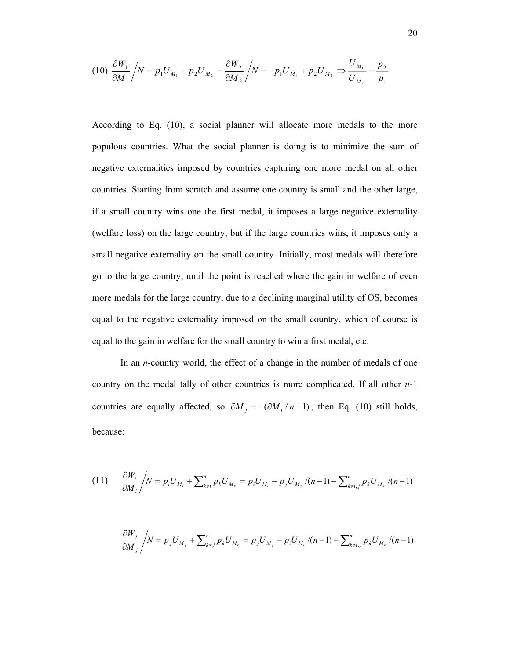$$
(10)\ \frac{\partial W_1}{\partial M_1} / N = p_1 U_{M_1} - p_2 U_{M_2} = \frac{\partial W_2}{\partial M_2} / N = -p_1 U_{M_1} + p_2 U_{M_2} \Rightarrow \frac{U_{M_1}}{U_{M_2}} = \frac{p_2}{p_1}
$$

According to Eq. (10), a social planner will allocate more medals to the more populous countries. What the social planner is doing is to minimize the sum of negative externalities imposed by countries capturing one more medal on all other countries. Starting from scratch and assume one country is small and the other large, if a small country wins one the first medal, it imposes a large negative externality (welfare loss) on the large country, but if the large countries wins, it imposes only a small negative externality on the small country. Initially, most medals will therefore go to the large country, until the point is reached where the gain in welfare of even more medals for the large country, due to a declining marginal utility of OS, becomes equal to the negative externality imposed on the small country, which of course is equal to the gain in welfare for the small country to win a first medal, etc.

In an *n*-country world, the effect of a change in the number of medals of one country on the medal tally of other countries is more complicated. If all other *n*-1 countries are equally affected, so  $\partial M_i = -(\partial M_i / n - 1)$ , then Eq. (10) still holds, because:

$$
(11) \qquad \frac{\partial W_i}{\partial M_i} / N = p_i U_{M_i} + \sum_{k \neq i}^n p_k U_{M_k} = p_i U_{M_i} - p_j U_{M_j} / (n-1) - \sum_{k \neq i,j}^n p_k U_{M_k} / (n-1)
$$

$$
\frac{\partial W_j}{\partial M_j} / N = p_j U_{M_j} + \sum_{k \neq j}^n p_k U_{M_k} = p_j U_{M_j} - p_i U_{M_i} / (n-1) - \sum_{k \neq i,j}^n p_k U_{M_k} / (n-1)
$$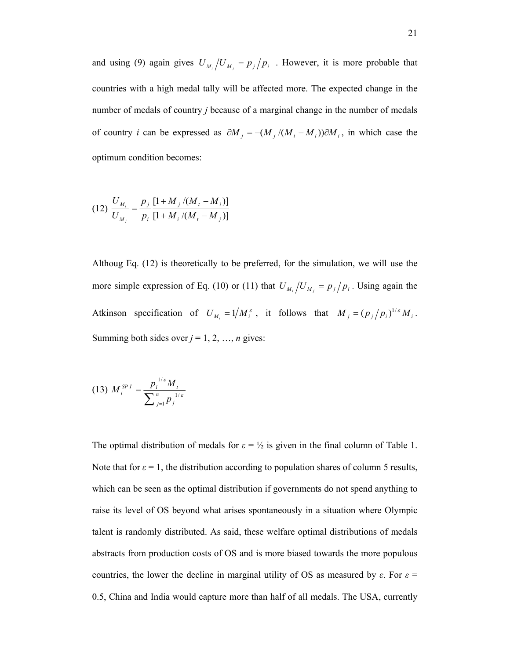and using (9) again gives  $U_{M_i}/U_{M_j} = p_j/p_i$ . However, it is more probable that countries with a high medal tally will be affected more. The expected change in the number of medals of country *j* because of a marginal change in the number of medals of country *i* can be expressed as  $\partial M_j = -(M_j/(M_i - M_i))\partial M_i$ , in which case the optimum condition becomes:

$$
(12)\ \frac{U_{M_i}}{U_{M_j}} = \frac{p_j}{p_i} \frac{[1 + M_j/(M_t - M_i)]}{[1 + M_i/(M_t - M_j)]}
$$

Althoug Eq. (12) is theoretically to be preferred, for the simulation, we will use the more simple expression of Eq. (10) or (11) that  $U_{M_i}/U_{M_j} = p_j/p_i$ . Using again the Atkinson specification of  $U_{M_i} = 1/M_i^{\varepsilon}$ , it follows that  $M_j = (p_j/p_i)^{1/\varepsilon} M_i$ . Summing both sides over  $j = 1, 2, ..., n$  gives:

$$
(13) \; M_i^{SPI} = \frac{p_i^{1/\varepsilon} M_i}{\sum_{j=1}^n p_j^{1/\varepsilon}}
$$

The optimal distribution of medals for  $\varepsilon = \frac{1}{2}$  is given in the final column of Table 1. Note that for  $\varepsilon = 1$ , the distribution according to population shares of column 5 results, which can be seen as the optimal distribution if governments do not spend anything to raise its level of OS beyond what arises spontaneously in a situation where Olympic talent is randomly distributed. As said, these welfare optimal distributions of medals abstracts from production costs of OS and is more biased towards the more populous countries, the lower the decline in marginal utility of OS as measured by  $\varepsilon$ . For  $\varepsilon$  = 0.5, China and India would capture more than half of all medals. The USA, currently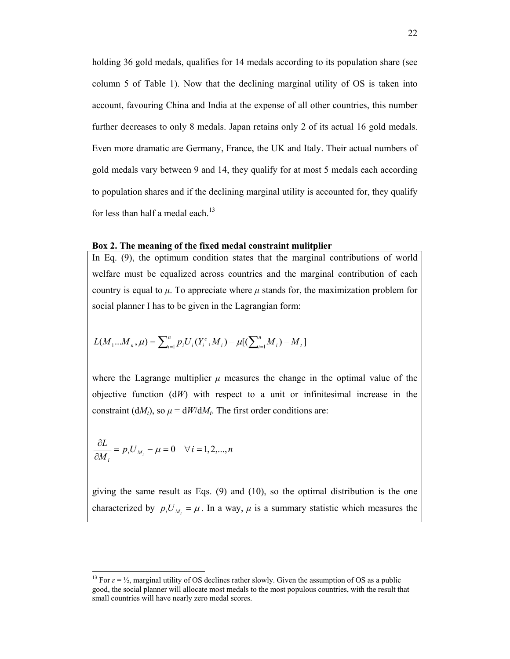holding 36 gold medals, qualifies for 14 medals according to its population share (see column 5 of Table 1). Now that the declining marginal utility of OS is taken into account, favouring China and India at the expense of all other countries, this number further decreases to only 8 medals. Japan retains only 2 of its actual 16 gold medals. Even more dramatic are Germany, France, the UK and Italy. Their actual numbers of gold medals vary between 9 and 14, they qualify for at most 5 medals each according to population shares and if the declining marginal utility is accounted for, they qualify for less than half a medal each. $^{13}$ 

#### **Box 2. The meaning of the fixed medal constraint mulitplier**

In Eq. (9), the optimum condition states that the marginal contributions of world welfare must be equalized across countries and the marginal contribution of each country is equal to  $\mu$ . To appreciate where  $\mu$  stands for, the maximization problem for social planner I has to be given in the Lagrangian form:

$$
L(M_1...M_n, \mu) = \sum_{i=1}^n p_i U_i(Y_i^c, M_i) - \mu[(\sum_{i=1}^n M_i) - M_i]
$$

where the Lagrange multiplier  $\mu$  measures the change in the optimal value of the objective function (d*W*) with respect to a unit or infinitesimal increase in the constraint (d*M<sub>t</sub>*), so  $\mu = dW/dM_t$ . The first order conditions are:

$$
\frac{\partial L}{\partial M_i} = p_i U_{M_i} - \mu = 0 \quad \forall i = 1, 2, ..., n
$$

giving the same result as Eqs. (9) and (10), so the optimal distribution is the one characterized by  $p_i U_{M_i} = \mu$ . In a way,  $\mu$  is a summary statistic which measures the

<sup>&</sup>lt;sup>13</sup> For  $\varepsilon = \frac{1}{2}$ , marginal utility of OS declines rather slowly. Given the assumption of OS as a public good, the social planner will allocate most medals to the most populous countries, with the result that small countries will have nearly zero medal scores.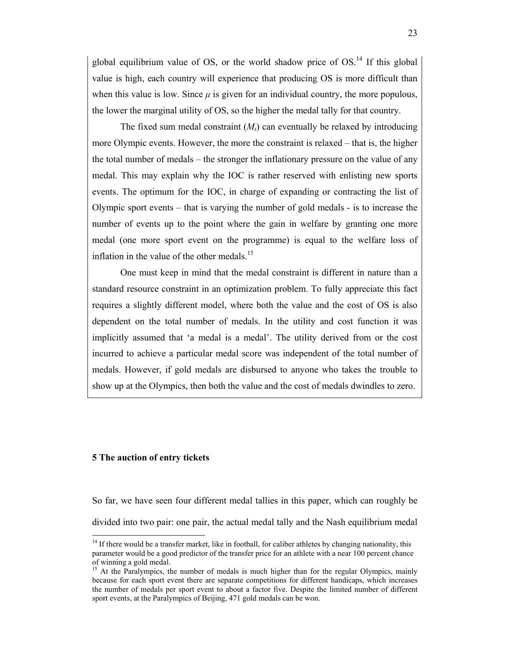global equilibrium value of OS, or the world shadow price of OS.<sup>14</sup> If this global value is high, each country will experience that producing OS is more difficult than when this value is low. Since  $\mu$  is given for an individual country, the more populous, the lower the marginal utility of OS, so the higher the medal tally for that country.

The fixed sum medal constraint  $(M_t)$  can eventually be relaxed by introducing more Olympic events. However, the more the constraint is relaxed – that is, the higher the total number of medals – the stronger the inflationary pressure on the value of any medal. This may explain why the IOC is rather reserved with enlisting new sports events. The optimum for the IOC, in charge of expanding or contracting the list of Olympic sport events – that is varying the number of gold medals - is to increase the number of events up to the point where the gain in welfare by granting one more medal (one more sport event on the programme) is equal to the welfare loss of inflation in the value of the other medals.<sup>15</sup>

One must keep in mind that the medal constraint is different in nature than a standard resource constraint in an optimization problem. To fully appreciate this fact requires a slightly different model, where both the value and the cost of OS is also dependent on the total number of medals. In the utility and cost function it was implicitly assumed that 'a medal is a medal'. The utility derived from or the cost incurred to achieve a particular medal score was independent of the total number of medals. However, if gold medals are disbursed to anyone who takes the trouble to show up at the Olympics, then both the value and the cost of medals dwindles to zero.

# **5 The auction of entry tickets**

l

So far, we have seen four different medal tallies in this paper, which can roughly be divided into two pair: one pair, the actual medal tally and the Nash equilibrium medal

<sup>&</sup>lt;sup>14</sup> If there would be a transfer market, like in football, for caliber athletes by changing nationality, this parameter would be a good predictor of the transfer price for an athlete with a near 100 percent chance of winning a gold medal.

<sup>&</sup>lt;sup>15</sup> At the Paralympics, the number of medals is much higher than for the regular Olympics, mainly because for each sport event there are separate competitions for different handicaps, which increases the number of medals per sport event to about a factor five. Despite the limited number of different sport events, at the Paralympics of Beijing, 471 gold medals can be won.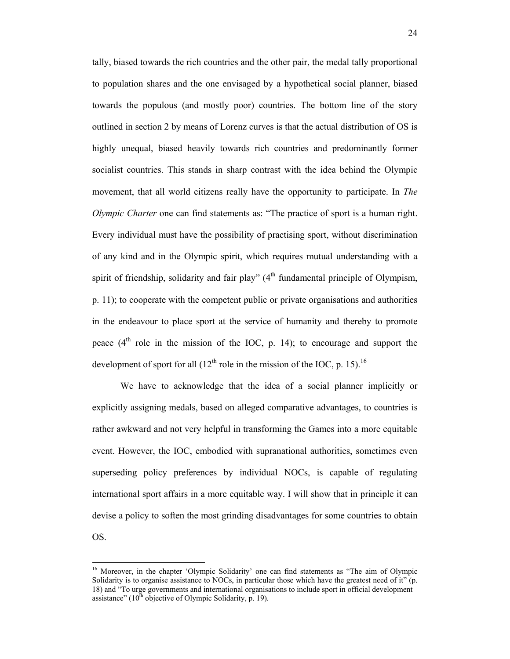tally, biased towards the rich countries and the other pair, the medal tally proportional to population shares and the one envisaged by a hypothetical social planner, biased towards the populous (and mostly poor) countries. The bottom line of the story outlined in section 2 by means of Lorenz curves is that the actual distribution of OS is highly unequal, biased heavily towards rich countries and predominantly former socialist countries. This stands in sharp contrast with the idea behind the Olympic movement, that all world citizens really have the opportunity to participate. In *The Olympic Charter* one can find statements as: "The practice of sport is a human right. Every individual must have the possibility of practising sport, without discrimination of any kind and in the Olympic spirit, which requires mutual understanding with a spirit of friendship, solidarity and fair play"  $(4<sup>th</sup>$  fundamental principle of Olympism, p. 11); to cooperate with the competent public or private organisations and authorities in the endeavour to place sport at the service of humanity and thereby to promote peace  $(4<sup>th</sup>$  role in the mission of the IOC, p. 14); to encourage and support the development of sport for all  $(12<sup>th</sup>$  role in the mission of the IOC, p. 15).<sup>16</sup>

We have to acknowledge that the idea of a social planner implicitly or explicitly assigning medals, based on alleged comparative advantages, to countries is rather awkward and not very helpful in transforming the Games into a more equitable event. However, the IOC, embodied with supranational authorities, sometimes even superseding policy preferences by individual NOCs, is capable of regulating international sport affairs in a more equitable way. I will show that in principle it can devise a policy to soften the most grinding disadvantages for some countries to obtain OS.

 $\overline{a}$ 

<sup>&</sup>lt;sup>16</sup> Moreover, in the chapter 'Olympic Solidarity' one can find statements as "The aim of Olympic Solidarity is to organise assistance to NOCs, in particular those which have the greatest need of it" (p. 18) and "To urge governments and international organisations to include sport in official development assistance" ( $10^{th}$  objective of Olympic Solidarity, p. 19).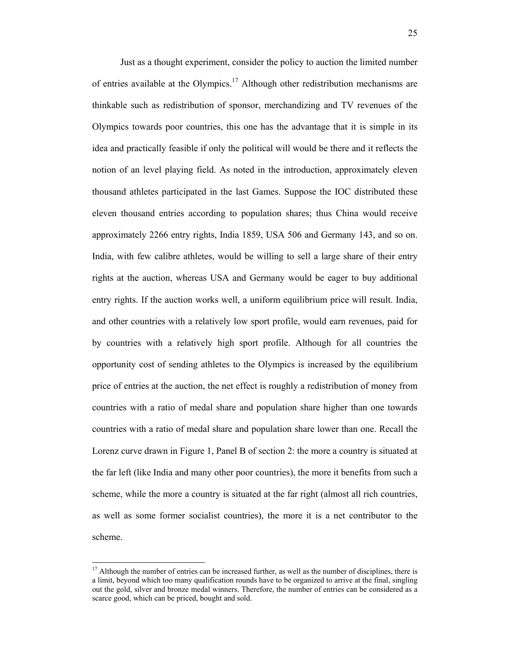Just as a thought experiment, consider the policy to auction the limited number of entries available at the Olympics.<sup>17</sup> Although other redistribution mechanisms are thinkable such as redistribution of sponsor, merchandizing and TV revenues of the Olympics towards poor countries, this one has the advantage that it is simple in its idea and practically feasible if only the political will would be there and it reflects the notion of an level playing field. As noted in the introduction, approximately eleven thousand athletes participated in the last Games. Suppose the IOC distributed these eleven thousand entries according to population shares; thus China would receive approximately 2266 entry rights, India 1859, USA 506 and Germany 143, and so on. India, with few calibre athletes, would be willing to sell a large share of their entry rights at the auction, whereas USA and Germany would be eager to buy additional entry rights. If the auction works well, a uniform equilibrium price will result. India, and other countries with a relatively low sport profile, would earn revenues, paid for by countries with a relatively high sport profile. Although for all countries the opportunity cost of sending athletes to the Olympics is increased by the equilibrium price of entries at the auction, the net effect is roughly a redistribution of money from countries with a ratio of medal share and population share higher than one towards countries with a ratio of medal share and population share lower than one. Recall the Lorenz curve drawn in Figure 1, Panel B of section 2: the more a country is situated at the far left (like India and many other poor countries), the more it benefits from such a scheme, while the more a country is situated at the far right (almost all rich countries, as well as some former socialist countries), the more it is a net contributor to the scheme.

 $\overline{a}$ 

<sup>&</sup>lt;sup>17</sup> Although the number of entries can be increased further, as well as the number of disciplines, there is a limit, beyond which too many qualification rounds have to be organized to arrive at the final, singling out the gold, silver and bronze medal winners. Therefore, the number of entries can be considered as a scarce good, which can be priced, bought and sold.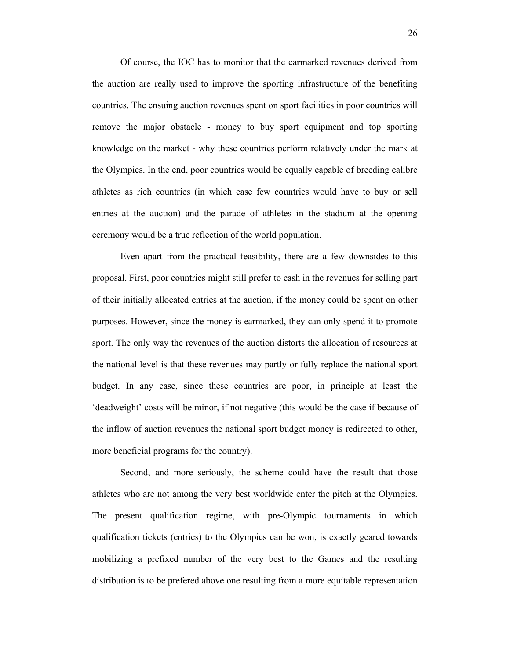Of course, the IOC has to monitor that the earmarked revenues derived from the auction are really used to improve the sporting infrastructure of the benefiting countries. The ensuing auction revenues spent on sport facilities in poor countries will remove the major obstacle - money to buy sport equipment and top sporting knowledge on the market - why these countries perform relatively under the mark at the Olympics. In the end, poor countries would be equally capable of breeding calibre athletes as rich countries (in which case few countries would have to buy or sell entries at the auction) and the parade of athletes in the stadium at the opening ceremony would be a true reflection of the world population.

Even apart from the practical feasibility, there are a few downsides to this proposal. First, poor countries might still prefer to cash in the revenues for selling part of their initially allocated entries at the auction, if the money could be spent on other purposes. However, since the money is earmarked, they can only spend it to promote sport. The only way the revenues of the auction distorts the allocation of resources at the national level is that these revenues may partly or fully replace the national sport budget. In any case, since these countries are poor, in principle at least the 'deadweight' costs will be minor, if not negative (this would be the case if because of the inflow of auction revenues the national sport budget money is redirected to other, more beneficial programs for the country).

Second, and more seriously, the scheme could have the result that those athletes who are not among the very best worldwide enter the pitch at the Olympics. The present qualification regime, with pre-Olympic tournaments in which qualification tickets (entries) to the Olympics can be won, is exactly geared towards mobilizing a prefixed number of the very best to the Games and the resulting distribution is to be prefered above one resulting from a more equitable representation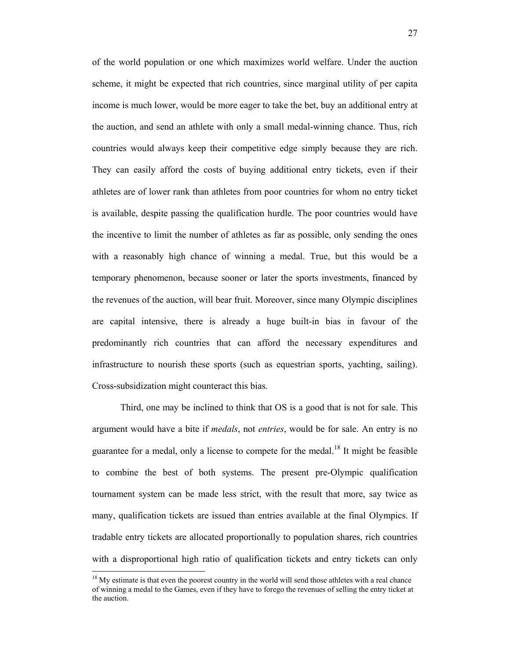of the world population or one which maximizes world welfare. Under the auction scheme, it might be expected that rich countries, since marginal utility of per capita income is much lower, would be more eager to take the bet, buy an additional entry at the auction, and send an athlete with only a small medal-winning chance. Thus, rich countries would always keep their competitive edge simply because they are rich. They can easily afford the costs of buying additional entry tickets, even if their athletes are of lower rank than athletes from poor countries for whom no entry ticket is available, despite passing the qualification hurdle. The poor countries would have the incentive to limit the number of athletes as far as possible, only sending the ones with a reasonably high chance of winning a medal. True, but this would be a temporary phenomenon, because sooner or later the sports investments, financed by the revenues of the auction, will bear fruit. Moreover, since many Olympic disciplines are capital intensive, there is already a huge built-in bias in favour of the predominantly rich countries that can afford the necessary expenditures and infrastructure to nourish these sports (such as equestrian sports, yachting, sailing). Cross-subsidization might counteract this bias.

Third, one may be inclined to think that OS is a good that is not for sale. This argument would have a bite if *medals*, not *entries*, would be for sale. An entry is no guarantee for a medal, only a license to compete for the medal.<sup>18</sup> It might be feasible to combine the best of both systems. The present pre-Olympic qualification tournament system can be made less strict, with the result that more, say twice as many, qualification tickets are issued than entries available at the final Olympics. If tradable entry tickets are allocated proportionally to population shares, rich countries with a disproportional high ratio of qualification tickets and entry tickets can only

<sup>&</sup>lt;sup>18</sup> My estimate is that even the poorest country in the world will send those athletes with a real chance of winning a medal to the Games, even if they have to forego the revenues of selling the entry ticket at the auction.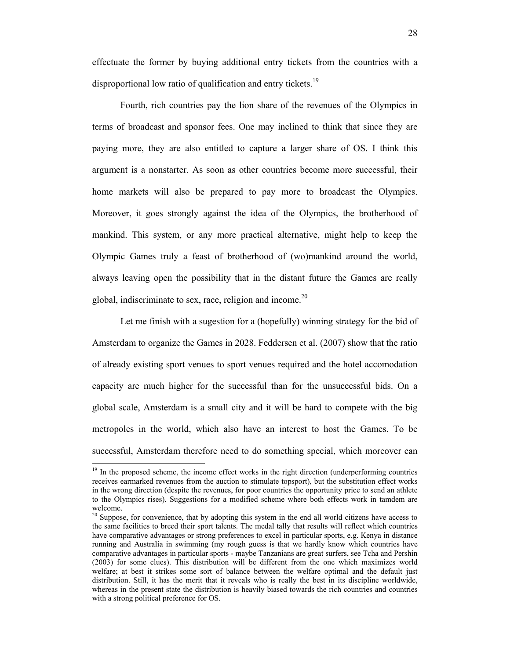effectuate the former by buying additional entry tickets from the countries with a disproportional low ratio of qualification and entry tickets.<sup>19</sup>

Fourth, rich countries pay the lion share of the revenues of the Olympics in terms of broadcast and sponsor fees. One may inclined to think that since they are paying more, they are also entitled to capture a larger share of OS. I think this argument is a nonstarter. As soon as other countries become more successful, their home markets will also be prepared to pay more to broadcast the Olympics. Moreover, it goes strongly against the idea of the Olympics, the brotherhood of mankind. This system, or any more practical alternative, might help to keep the Olympic Games truly a feast of brotherhood of (wo)mankind around the world, always leaving open the possibility that in the distant future the Games are really global, indiscriminate to sex, race, religion and income.<sup>20</sup>

Let me finish with a sugestion for a (hopefully) winning strategy for the bid of Amsterdam to organize the Games in 2028. Feddersen et al. (2007) show that the ratio of already existing sport venues to sport venues required and the hotel accomodation capacity are much higher for the successful than for the unsuccessful bids. On a global scale, Amsterdam is a small city and it will be hard to compete with the big metropoles in the world, which also have an interest to host the Games. To be successful, Amsterdam therefore need to do something special, which moreover can

<sup>&</sup>lt;sup>19</sup> In the proposed scheme, the income effect works in the right direction (underperforming countries receives earmarked revenues from the auction to stimulate topsport), but the substitution effect works in the wrong direction (despite the revenues, for poor countries the opportunity price to send an athlete to the Olympics rises). Suggestions for a modified scheme where both effects work in tamdem are welcome.

 $20$  Suppose, for convenience, that by adopting this system in the end all world citizens have access to the same facilities to breed their sport talents. The medal tally that results will reflect which countries have comparative advantages or strong preferences to excel in particular sports, e.g. Kenya in distance running and Australia in swimming (my rough guess is that we hardly know which countries have comparative advantages in particular sports - maybe Tanzanians are great surfers, see Tcha and Pershin (2003) for some clues). This distribution will be different from the one which maximizes world welfare; at best it strikes some sort of balance between the welfare optimal and the default just distribution. Still, it has the merit that it reveals who is really the best in its discipline worldwide, whereas in the present state the distribution is heavily biased towards the rich countries and countries with a strong political preference for OS.